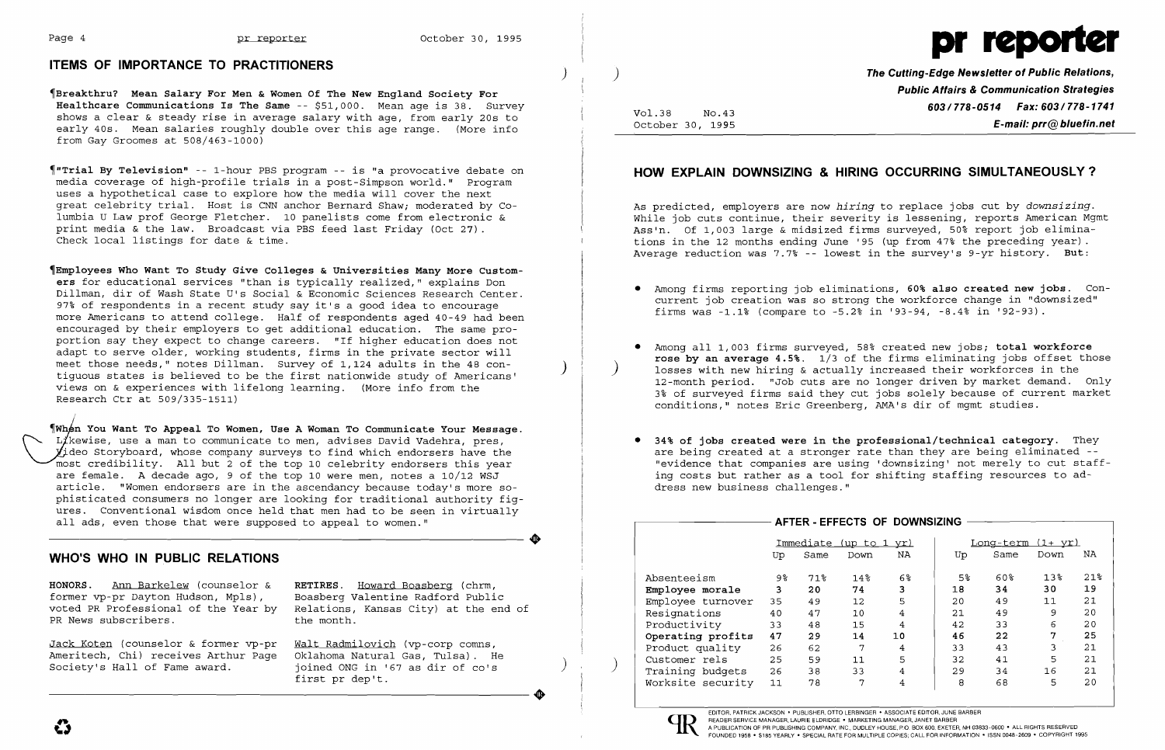### ITEMS OF IMPORTANCE TO PRACTITIONERS



The Cutting-Edge Newsletter of Public Relations, Public Affairs & Communication Strategies Vol.38 No.43 **No.43** No.43 No.43 **603/778-0514 Fax: 603/778-1741**<br>October 30, 1995  $E$ -mail: prr $@$  bluefin.net

~Breakthru? Mean Salary For Men & Women Of The New England Society For Healthcare Communications Is The Same -- \$51,000. Mean age is 38. Survey shows a clear & steady rise in average salary with age, from early 20s to early 40s. Mean salaries roughly double over this age range. (More info from Gay Groomes at 508/463-1000)

~"Trial By Television" -- I-hour PBS program -- is "a provocative debate on media coverage of high-profile trials in a post-Simpson world." Program uses a hypothetical case to explore how the media will cover the next great celebrity trial. Host is CNN anchor Bernard Shaw; moderated by Columbia U Law prof George Fletcher. 10 panelists come from electronic & print media & the law. Broadcast via PBS feed last Friday (Oct 27) . Check local listings for date & time.

~Employees Who Want To Study Give Colleges & Universities Many More Customers for educational services "than is typically realized," explains Don Dillman, dir of Wash State U's Social & Economic Sciences Research Center. 97% of respondents in a recent study say it's a good idea to encourage more Americans to attend college. Half of respondents aged 40-49 had been encouraged by their employers to get additional education. The same proportion say they expect to change careers. "If higher education does not adapt to serve older, working students, firms in the private sector will<br>meet those needs," notes Dillman. Survey of 1,124 adults in the 48 contiquous states is believed to be the first nationwide study of Americans' views on & experiences with lifelong learning. (More info from the Research Ctr at 509/335-1511)

Jack Koten (counselor & former vp-pr Walt Radmilovich (vp-corp comns, Ameritech, Chi) receives Arthur Page<br>Society's Hall of Fame award.

Relations, Kansas City) at the end of<br>the month.

joined ONG in '67 as dir of co's first pr dep't. Society's Hall of Fame award.<br>Society's Hall of Fame award.<br>Tirst pr dep't.

n You Want To Appeal To Women, Use A Woman To Communicate Your Message. L/kewise, use a man to communicate to men, advises David Vadehra, pres,  $y$ ideo Storyboard, whose company surveys to find which endorsers have the most credibility. All but 2 of the top 10 celebrity endorsers this year are female. A decade ago, 9 of the top 10 were men, notes a 10/12 WSJ article. "Women endorsers are in the ascendancy because today's more sophisticated consumers no longer are looking for traditional authority figures. Conventional wisdom once held that men had to be seen in virtually all ads, even those that were supposed to appeal to women." all ads, even those that were supposed to appeal to women."

Among all 1,003 firms surveyed, 58% created new jobs; total workforce rose by an average 4.5%.  $1/3$  of the firms eliminating jobs offset those losses with new hiring & actually increased their workforces in the 12-month period. "Job cuts are no longer driven by market demand. Only 3% of surveyed firms said they cut jobs solely because of current market

# WHO'S WHO IN PUBLIC RELATIONS

HONORS. Ann Barkelew (counselor & RETIRES. Howard Boasberg (chrm, former vp-pr Dayton Hudson, Mpls), Boasberg Valentine Radford Public<br>voted PR Professional of the Year by Relations, Kansas City) at the eno PR News subscribers.

EDITOR, PATRICK JACKSON' PUBLISHER, OTTO LERBINGER • ASSOCIATE EDITOR, JUNE BARBER READER SERVICE MANAGER, LAURIE ELDRIDGE • MARKETING MANAGER, JANET BARBER<br>A PUBLICATION OF PR PUBLISHING COMPANY, INC., DUDLEY HOUSE, P.O. BOX 600, EXETER, NH 03833-0600 • ALL RIGHTS RESERVED FRAMENT SERVICE MANAGER, LAUNIE ELDHIDGE . MANAGER, LAUNIE ELDHIDGE . MANAGER, JANET BARBER<br>POUNDED 1958 . STAR FRIDBISHING COMPANY, INC., DUDLEY HOUSEY HOUSEY HOUSE, P.O. BOX 600. EXETER, NH 03833-0600<br>FOUNDED 1958 . STAR

# HOW EXPLAIN DOWNSIZING & HIRING OCCURRING SIMULTANEOUSLY?

As predicted, employers are now *hiring* to replace jobs cut by *downsizing.*  While job cuts continue, their severity is lessening, reports American Mgmt Ass'n. Of 1,003 large & midsized firms surveyed, 50% report job eliminations in the 12 months ending June '95 (up from 47% the preceding year) . Average reduction was 7.7% -- lowest in the survey's 9-yr history. But:

• Among firms reporting job eliminations, 60% also created new jobs. Concurrent job creation was so strong the workforce change in "downsized"

- firms was -1.1% (compare to -5.2% in '93-94, -8.4% in '92-93).
- conditions," notes Eric Greenberg, AMA's dir of mgmt studies.
- dress new business challenges."

• 34% of jobs created were in the professional/technical category. They are being created at a stronger rate than they are being eliminated - "evidence that companies are using 'downsizing' not merely to cut staffing costs but rather as a tool for shifting staffing resources to ad-

|  |                   |                        |      |        | AFTER - EFFECTS OF DOWNSIZING |                          |      |                 |                 |
|--|-------------------|------------------------|------|--------|-------------------------------|--------------------------|------|-----------------|-----------------|
|  |                   | Immediate (up to 1 yr) |      |        |                               | <u>Long-term (1+ yr)</u> |      |                 |                 |
|  |                   | Up                     | Same | Down   | NA                            | Up                       | Same | Down            | NA              |
|  | Absenteeism       | 9%                     | 71%  | $14\%$ | $6\%$                         | 5%                       | 60%  | 13 <sup>8</sup> | 21 <sup>8</sup> |
|  | Employee morale   | 3                      | 20   | 74     | 3                             | 18                       | 34   | 30              | 19              |
|  | Employee turnover | 35                     | 49   | 12     | 5                             | 20                       | 49   | 11              | 21              |
|  | Resignations      | 40                     | 47   | 10     | 4                             | 21                       | 49   | 9               | 20              |
|  | Productivity      | 33                     | 48   | 15     | 4                             | 42                       | 33   | 6               | 20              |
|  | Operating profits | 47                     | 29   | 14     | 10                            | 46                       | 22   | 7               | 25              |
|  | Product quality   | 26                     | 62   | 7      | 4                             | 33                       | 43   | 3               | 21              |
|  | Customer rels     | 25                     | 59   | 11     | 5                             | 32                       | 41   | 5               | 21              |
|  | Training budgets  | 26                     | 38   | 33     | 4                             | 29                       | 34   | 16              | 21              |
|  | Worksite security | 11                     | 78   | 7      | 4                             | 8                        | 68   | 5               | 20              |